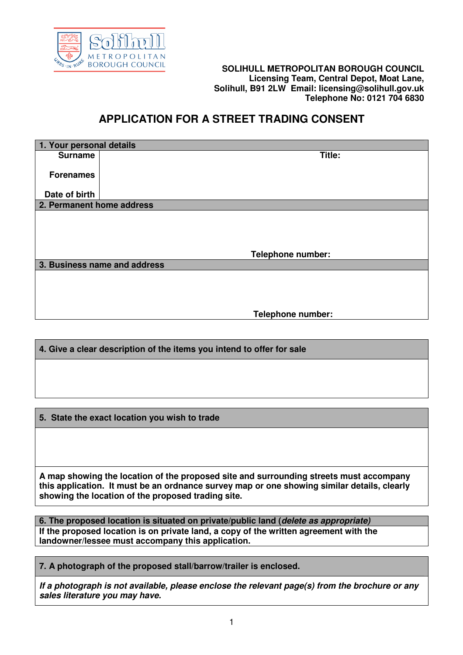

## **BOROUGH COUNCIL SOLIHULL METROPOLITAN BOROUGH COUNCIL Licensing Team, Central Depot, Moat Lane, Solihull, B91 2LW Email: licensing@solihull.gov.uk Telephone No: 0121 704 6830**

## **APPLICATION FOR A STREET TRADING CONSENT**

| 1. Your personal details  |                              |  |  |  |  |
|---------------------------|------------------------------|--|--|--|--|
| <b>Surname</b>            | Title:                       |  |  |  |  |
|                           |                              |  |  |  |  |
| <b>Forenames</b>          |                              |  |  |  |  |
|                           |                              |  |  |  |  |
| Date of birth             |                              |  |  |  |  |
| 2. Permanent home address |                              |  |  |  |  |
|                           |                              |  |  |  |  |
|                           |                              |  |  |  |  |
|                           |                              |  |  |  |  |
|                           |                              |  |  |  |  |
|                           | Telephone number:            |  |  |  |  |
|                           | 3. Business name and address |  |  |  |  |
|                           |                              |  |  |  |  |
|                           |                              |  |  |  |  |
|                           |                              |  |  |  |  |
|                           |                              |  |  |  |  |
|                           | Telephone number:            |  |  |  |  |

**4. Give a clear description of the items you intend to offer for sale** 

**5. State the exact location you wish to trade** 

**A map showing the location of the proposed site and surrounding streets must accompany this application. It must be an ordnance survey map or one showing similar details, clearly showing the location of the proposed trading site.** 

**6. The proposed location is situated on private/public land (delete as appropriate) If the proposed location is on private land, a copy of the written agreement with the landowner/lessee must accompany this application.** 

**7. A photograph of the proposed stall/barrow/trailer is enclosed.** 

**If a photograph is not available, please enclose the relevant page(s) from the brochure or any sales literature you may have.**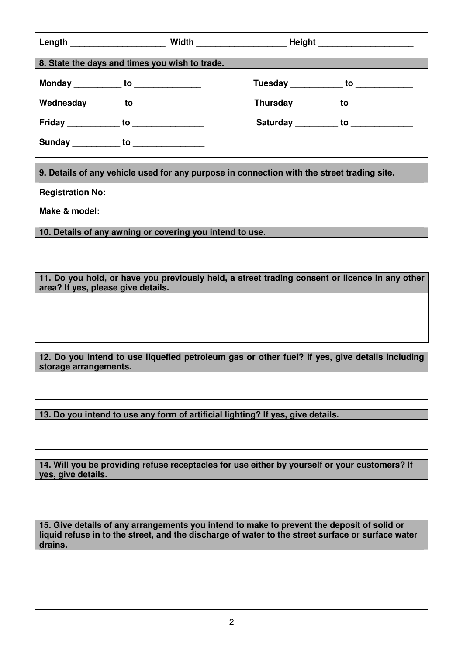|                                                                                                                                      |  | Length __________________________Width _________________________Height _____________________________ |  |                                         |  |
|--------------------------------------------------------------------------------------------------------------------------------------|--|------------------------------------------------------------------------------------------------------|--|-----------------------------------------|--|
| 8. State the days and times you wish to trade.                                                                                       |  |                                                                                                      |  |                                         |  |
| Monday ____________ to _______________                                                                                               |  |                                                                                                      |  | Tuesday _____________ to ______________ |  |
| Wednesday ________ to _______________                                                                                                |  |                                                                                                      |  | Thursday __________ to _____________    |  |
| Friday _____________ to _________________                                                                                            |  |                                                                                                      |  | Saturday __________ to ____________     |  |
| Sunday ___________ to ______________                                                                                                 |  |                                                                                                      |  |                                         |  |
| 9. Details of any vehicle used for any purpose in connection with the street trading site.                                           |  |                                                                                                      |  |                                         |  |
| <b>Registration No:</b>                                                                                                              |  |                                                                                                      |  |                                         |  |
| Make & model:                                                                                                                        |  |                                                                                                      |  |                                         |  |
| 10. Details of any awning or covering you intend to use.                                                                             |  |                                                                                                      |  |                                         |  |
|                                                                                                                                      |  |                                                                                                      |  |                                         |  |
| 11. Do you hold, or have you previously held, a street trading consent or licence in any other<br>area? If yes, please give details. |  |                                                                                                      |  |                                         |  |
|                                                                                                                                      |  |                                                                                                      |  |                                         |  |
|                                                                                                                                      |  |                                                                                                      |  |                                         |  |
|                                                                                                                                      |  |                                                                                                      |  |                                         |  |
| 12. Do you intend to use liquefied petroleum gas or other fuel? If yes, give details including<br>storage arrangements.              |  |                                                                                                      |  |                                         |  |

**13. Do you intend to use any form of artificial lighting? If yes, give details.**

**14. Will you be providing refuse receptacles for use either by yourself or your customers? If yes, give details.** 

**15. Give details of any arrangements you intend to make to prevent the deposit of solid or liquid refuse in to the street, and the discharge of water to the street surface or surface water drains.**